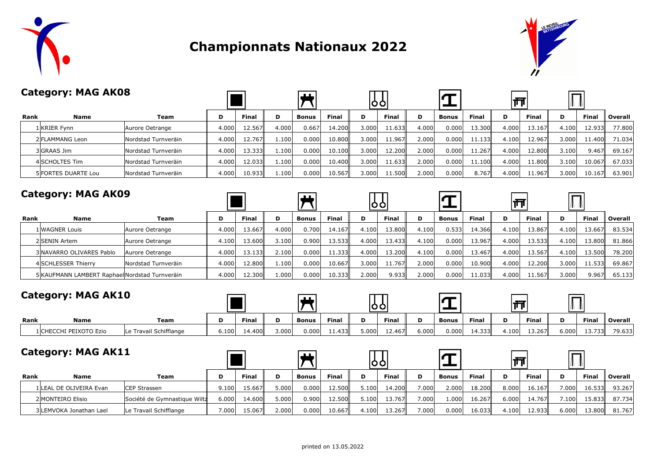

## **Championnats Nationaux 2022**



|      | <b>Category: MAG AK08</b>  |                     |       |              |       |                |              |       | OO           |       |              |              | ∣त्त  |              |       |              |         |
|------|----------------------------|---------------------|-------|--------------|-------|----------------|--------------|-------|--------------|-------|--------------|--------------|-------|--------------|-------|--------------|---------|
| Rank | <b>Name</b>                | Team                | D     | <b>Final</b> | D     | <b>Bonus</b>   | <b>Final</b> | D     | <b>Final</b> | D     | <b>Bonus</b> | <b>Final</b> | D     | <b>Final</b> | D     | <b>Final</b> | Overall |
|      | l KRIER Fynn               | Aurore Oetrange     | 4.000 | 12.567       | 4.000 | 0.667          | 14.200       | 3.000 | 11.633       | 4.000 | 0.000        | 13.300       | 4.000 | 13.167       | 4.100 | 12.933       | 77,800  |
|      | 2 FLAMMANG Leon            | Nordstad Turnveräin | 4.000 | 12.767       | 1.100 | 0.000          | 10.800       | 3.000 | 11.967       | 2.000 | 0.000        | 11.133       | 4.100 | 12.967       | 3.000 | 11.400       | 71.034  |
|      | 3 GRAAS Jim                | Nordstad Turnveräin | 4.000 | 13.333       | 1.100 | 0.000          | 10.100       | 3.000 | 12.200       | 2.000 | 0.000        | 11.267       | 4.000 | 12.800       | 3.100 | 9.467        | 69.167  |
|      | 4 SCHOLTES Tim             | Nordstad Turnveräin | 4.000 | 12.033       | 1.100 | 0.000          | 10.400       | 3.000 | 11.633       | 2.000 | 0.000        | 11.100       | 4.000 | 11.800       | 3.100 | 10.067       | 67.033  |
|      | <b>5 FORTES DUARTE Lou</b> | Nordstad Turnveräin | 4.000 | 10.933       | 1.100 | 0.000          | 10.567       | 3.000 | 11.500       | 2.000 | 0.000        | 8.767        | 4.000 | 11.967       | 3.000 | 10.167       | 63.901  |
|      | <b>Category: MAG AK09</b>  |                     |       |              |       | $\blacksquare$ |              |       | 06           |       |              |              | ∣त्त  |              |       |              |         |
| Rank | <b>Name</b>                | Team                | D     | <b>Final</b> | D     | <b>Bonus</b>   | <b>Final</b> | D     | Final        | D     | <b>Bonus</b> | <b>Final</b> | D     | <b>Final</b> | D     | <b>Final</b> | Overall |
|      | 1 WAGNER Louis             | Aurore Oetrange     | 4.000 | 13.667       | 4.000 | 0.700          | 14.167       | 4.100 | 13.800       | 4.100 | 0.533        | 14.366       | 4.100 | 13.867       | 4.100 | 13.667       | 83.534  |
|      | 2 SENIN Artem              | Aurore Oetrange     | 4.100 | 13.600       | 3.100 | 0.900          | 13.533       | 4.000 | 13.433       | 4.100 | 0.000        | 13.967       | 4.000 | 13.533       | 4.100 | 13.800       | 81.866  |
|      | 3 NAVARRO OLIVARES Pablo   | Aurore Oetrange     | 4.000 | 13.133       | 2.100 | 0.000          | 11.333       | 4.000 | 13.200       | 4.100 | 0.000        | 13.467       | 4.000 | 13.567       | 4.100 | 13.500       | 78.200  |

|                                                |                     | .                | ------ | ----- | - - - - - | ------ | .      | ------              | .                 | -----  | ------   | .     | -----               | .     | ------ | .      |
|------------------------------------------------|---------------------|------------------|--------|-------|-----------|--------|--------|---------------------|-------------------|--------|----------|-------|---------------------|-------|--------|--------|
| " ESSER Thierry                                | Nordstad Turnveräin | 000 <sub>1</sub> | 12.800 | 1.100 | 0.000l    | 10.667 | 3.000' | -1.767 <sup>1</sup> | .000              | 0.000' | 10.900   | 4.000 | ⊥2.200 <sup>∥</sup> | 3.000 | 11.533 | 69.867 |
| 5 KAUFMANN LAMBERT Raphael Nordstad Turnveräin |                     | $000 +$          | 12.300 | ا000. | 0.000     | 10.333 | 2.000  | 9.933               | .000 <sub>1</sub> | 000.0  | ا1.033 ، | 4.000 | ⊥1.567              | 3.000 | 9.967  | 65.133 |
|                                                |                     |                  |        |       |           |        |        |                     |                   |        |          |       |                     |       |        |        |

### **Category: MAG AK10**

| <b>Category: MAG AK10</b> |                        |                        |       |        |       |              |        |       |                     |       |              |              |       |              |       |        |         |
|---------------------------|------------------------|------------------------|-------|--------|-------|--------------|--------|-------|---------------------|-------|--------------|--------------|-------|--------------|-------|--------|---------|
| Rank                      | <b>Name</b>            | Team                   | D     | Final  |       | <b>Bonus</b> | Final  | D     | <b>Final</b>        | D     | <b>Bonus</b> | <b>Final</b> | D     | <b>Final</b> | D     | Final  | Overall |
|                           | 1 CHECCHI PEIXOTO Ezio | Le Travail Schifflange | 6.100 | 14.400 | 3.000 | $0.000\vert$ | 11.433 | 5.000 | L <sub>2</sub> .467 | 5.000 | 0.000        | 14.333       | 4.100 | 13.267       | 6.000 | 13.733 | 79.633  |

|      | <b>Category: MAG AK11</b> |                              |       |         |       |              |              | 100   |         |        |       |              | m     |              |        |        |         |
|------|---------------------------|------------------------------|-------|---------|-------|--------------|--------------|-------|---------|--------|-------|--------------|-------|--------------|--------|--------|---------|
| Rank | Name                      | Team                         | D     | Final   |       | <b>Bonus</b> | <b>Final</b> | D     | Final   | D      | Bonus | <b>Final</b> | D     | <b>Final</b> | D      | Final  | Overall |
|      | 1 LEAL DE OLIVEIRA Evan   | CEP Strassen                 | 9.100 | 15.6671 | 5.000 | 0.000        | 12.500       | 5.100 | 14.200  | ا000.' | 2.000 | 18.200       | 8.000 | 16.167       | 1.000  | 16.533 | 93.267  |
|      | 2 MONTEIRO Elisio         | Société de Gymnastique Wiltz | 6.000 | 14.600  | 5.000 | 0.900        | 12.500       | 5.100 | 13.7671 | ا000.' | 1.000 | 16.267       | 6.000 | 14.767       | ا100.' | 15.833 | 87.734  |
|      | 3 LEMVOKA Jonathan Lael   | Le Travail Schifflange       | 000.≀ | 15.067  | 2.000 | 0.000        | 10.667       | 4.100 | I3.267  | 1000.' | 0.000 | 16.033       | 4.100 | 12.933       | 6.000  | 13.80이 | 81.767  |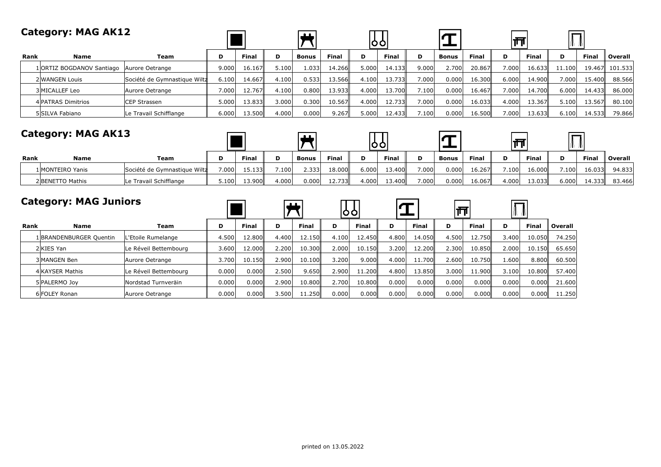#### **Category: MAG AK12**  $\overline{\bm{\pi}}$  $\overline{\mathrm{L}}$  $\tau$ ∣क्त **Rank Name Team D Final D Bonus Final D Final D Bonus Final D Final D Final Overall** 1 ORTIZ BOGDANOV Santiago Aurore Oetrange 9.000 16.167 5.100 1.033 14.266 5.000 14.133 9.000 2.700 20.867 7.000 16.633 11.100 19.467 101.533 2 WANGEN Louis Société de Gymnastique Wilt $\frac{4}{16}$  6.100 14.667 4.100 0.533 13.566 4.100 13.733 7.000 0.000 16.300 6.000 14.900 7.000 15.400 88.566 3|MICALLEF Leo |Aurore Oetrange || 7.000| 12.767|| 4.100| 0.800| 13.700|| 7.100| 7.100| 0.000| 16.467|| 7.000| 14.700|| 6.000| 14.433|| 86.000 4|PATRAS Dimitrios |CEP Strassen || 5.000| 13.833|| 3.000| 0.300| 10.567|| 4.000| 12.733|| 7.000| 0.000| 16.033|| 4.000| 13.367|| 5.100| 13.567|| 80.100 5 SILVA Fabiano Le Travail Schifflange 6.000 13.500 4.000 0.000 9.267 5.000 12.433 7.100 0.000 16.500 7.000 13.633 6.100 14.533 79.866

#### **Category: MAG AK13**

|             | <b>Category: MAG AK13</b> |                              |        |        |       |              |              | 10 O I |        |       |              |              |       |              |       |              |         |
|-------------|---------------------------|------------------------------|--------|--------|-------|--------------|--------------|--------|--------|-------|--------------|--------------|-------|--------------|-------|--------------|---------|
| <b>Rank</b> | Name                      | Team                         |        | Final  | D     | <b>Bonus</b> | <b>Final</b> | D      | Final  | D     | <b>Bonus</b> | <b>Final</b> |       | <b>Final</b> | D     | <b>Final</b> | Overall |
|             | 1 MONTEIRO Yanis          | Société de Gymnastique Wiltz | ا000.' | 15.133 | 7.100 | 2.333        | 18,000       | 6.000  | 13.400 | 7.000 | 0.000        | 16.267       | 7.100 | 16.000       | 7.100 | 16.033       | 94.833  |
|             | 2BENETTO Mathis           | Le Travail Schifflange       | 5.100  | 13.900 | 4.000 | 0.000        | 12.733       | 4.000  | 13.400 | 7.000 | 0.000        | 16.067       | 4.000 | 13.033       | 6.000 | 14.333       | 83.466  |

 $\Box$ 

 $\overline{ }$ 

 $\Box$ 

 $\overline{ }$ 

#### **Category: MAG Juniors**

|      |                         |                       |       |              |       |              | 00    |        |       |        | --<br>Ш |          |       |              |         |
|------|-------------------------|-----------------------|-------|--------------|-------|--------------|-------|--------|-------|--------|---------|----------|-------|--------------|---------|
| Rank | <b>Name</b>             | Team                  | D     | <b>Final</b> | D     | <b>Final</b> | D     | Final  | D     | Final  | D       | Final    |       | <b>Final</b> | Overall |
|      | 1 BRANDENBURGER Quentin | L'Etoile Rumelange    | 4.500 | 12.800       | 4.400 | 12.150       | 4.100 | 12.450 | 4.800 | 14.050 | 4.500   | 12.750   | 3.400 | 10.050       | 74.250  |
|      | 2KIES Yan               | Le Réveil Bettembourg | 3.600 | 12.000       | 2.200 | 10.300       | 2.000 | 10.150 | 3.200 | 12.200 | 2.300   | 10.850   | 2.000 | 10.150       | 65.650  |
|      | 3 MANGEN Ben            | Aurore Oetrange       | 3.700 | 10.150       | 2.900 | 10.100       | 3.200 | 9.000  | 4.000 | 11.700 | 2.600   | 10.750   | 1.600 | 8,800        | 60.500  |
|      | 4 KAYSER Mathis         | Le Réveil Bettembourg | 0.000 | 0.000        | 2.500 | 9.650        | 2.900 | 11.200 | 4.800 | 13.850 | 3.000   | 11.900ll | 3.100 | 10.800       | 57,400  |
|      | 5 PALERMO Joy           | Nordstad Turnveräin   | 0.000 | 0.000        | 2.900 | 10.800       | 2.700 | 10.800 | 0.000 | 0.000  | 0.000   | 0.000    | 0.000 | 0.000        | 21.600  |
|      | 6 FOLEY Ronan           | Aurore Oetrange       | 0.000 | 0.000        | 3.500 | 11.250       | 0.000 | 0.000  | 0.000 | 0.000  | 0.000   | 0.000    | 0.000 | 0.000        | 11.250  |

 $\sqrt{1 + \sqrt{1 + \frac{1}{2}}}$ 

 $\overline{ }$